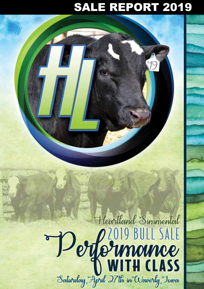# SALE REPORT 2019

# Heartland Simmental Derfermoince Saturday, April 27th in Waverly, Towa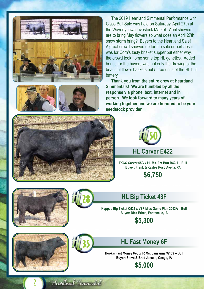





 The 2019 Heartland Simmental Performance with Class Bull Sale was held on Saturday, April 27th at the Waverly Iowa Livestock Market. April showers are to bring May flowers so what does an April 27th snow storm bring? Buyers to the Heartland Sale! A great crowd showed up for the sale or perhaps it was for Cora's tasty brisket supper but either way, the crowd took home some top HL genetics. Added bonus for the buyers was not only the drawing of the beautiful flower baskets but 5 free units of the HL bull battery.

 **Thank you from the entire crew at Heartland Simmentals! We are humbled by all the response via phone, text, internet and in person. We look forward to many years of working together and we are honored to be your seedstock provider.**





**TKCC Carver 65C x HL Ms. Fat Butt B42-1 – Bull Buyer: Frank & Kaylea Post, Avella, PA**

**\$6,750**



**Kappes Big Ticket C521 x VSF Miss Game Plan 3063A – Bull Buyer: Dick Erbes, Fontanelle, IA**

**\$5,300**

**HL Fast Money 6F**

**Hook's Fast Money 67C x IR Ms. Lausanne W139 – Bull Buyer: Steve & Brad Jensen, Osage, IA**

**\$5,000**

2



#### Heartland Simmental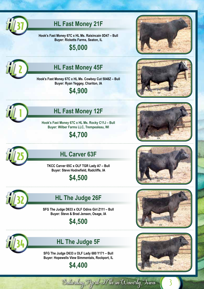

#### **HL Fast Money 21F**

**Hook's Fast Money 67C x HL Ms. Raisincain 0D47 – Bull Buyer: Ricketts Farms, Seaton, IL**

**\$5,000**



## **HL Fast Money 45F**

**Hook's Fast Money 67C x HL Ms. Cowboy Cut 5048Z – Bull Buyer: Ryan Yeggey, Chariton, IA**

**\$4,900**



## **HL Fast Money 12F**

**Hook's Fast Money 67C x HL Ms. Rocky C11J – Bull Buyer: Wilber Farms LLC, Trempealeau, WI**

**\$4,700**



### **HL Carver 63F**

**TKCC Carver 65C x OLF TGR Lady A7 – Bull Buyer: Steve Hodnefield, Radcliffe, IA**

**\$4,500**



#### **HL The Judge 26F**

**SFG The Judge D633 x OLF Odins Girl Z111 – Bull Buyer: Steve & Brad Jensen, Osage, IA**

**\$4,500**



### **HL The Judge 5F**

**SFG The Judge D633 x OLF Lady 680 Y171 – Bull Buyer: Hopewells View Simmentals, Rockport, IL**

#### **\$4,400**













3

Salarday, April 27th in Waverly, Towa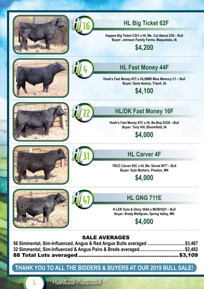



#### **HL Big Ticket 62F**

**Kappes Big Ticket C521 x HL Ms. Cut Above Z30 – Bull Buyer: Johnson Family Farms, Maquoketa, IA**

**\$4,200**





#### **HL Fast Money 44F**

**Hook's Fast Money 67C x HL/BMR Miss Memory C1 – Bull Buyer: Dane Asmus, Tripoli, IA**

#### **\$4,100**





#### **HL/DK Fast Money 16F**

**Hook's Fast Money 67C x HL Be-Bop D338 – Bull Buyer: Tony Hill, Bloomfield, IA**

**\$4,000**





#### **HL Carver 4F**

**TKCC Carver 65C x HL Ms. Secret W77 – Bull Buyer: Kyle Mulhern, Preston, MN**

#### **\$4,000**



 $\overline{l}$ 



#### **HL GNG 711E**

**K-LER Guts & Glory 304A x MCM102Y – Bull Buyer: Brady Wolfgram, Spring Valley, MN**

**\$4,000**

#### SALE AVERAGES

| 56 Simmental, Sim-Influenced, Angus & Red Angus Bulls averaged \$3,467 |  |
|------------------------------------------------------------------------|--|
|                                                                        |  |
|                                                                        |  |

#### **THANK YOU TO ALL THE BIDDERS & BUYERS AT OUR 2019 BULL SALE!**

Heartland Simmental